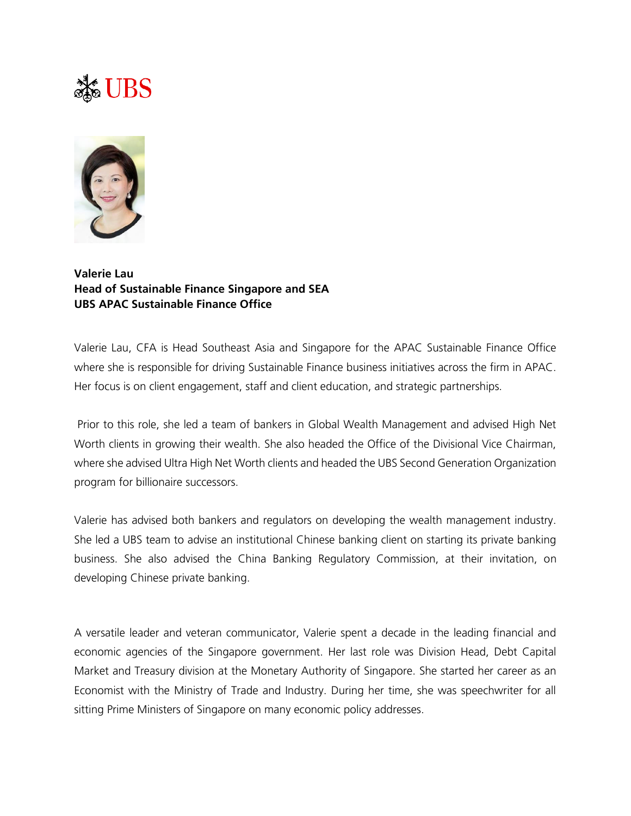## $\frac{1}{200}$  UBS



**Valerie Lau Head of Sustainable Finance Singapore and SEA UBS APAC Sustainable Finance Office**

Valerie Lau, CFA is Head Southeast Asia and Singapore for the APAC Sustainable Finance Office where she is responsible for driving Sustainable Finance business initiatives across the firm in APAC. Her focus is on client engagement, staff and client education, and strategic partnerships.

Prior to this role, she led a team of bankers in Global Wealth Management and advised High Net Worth clients in growing their wealth. She also headed the Office of the Divisional Vice Chairman, where she advised Ultra High Net Worth clients and headed the UBS Second Generation Organization program for billionaire successors.

Valerie has advised both bankers and regulators on developing the wealth management industry. She led a UBS team to advise an institutional Chinese banking client on starting its private banking business. She also advised the China Banking Regulatory Commission, at their invitation, on developing Chinese private banking.

A versatile leader and veteran communicator, Valerie spent a decade in the leading financial and economic agencies of the Singapore government. Her last role was Division Head, Debt Capital Market and Treasury division at the Monetary Authority of Singapore. She started her career as an Economist with the Ministry of Trade and Industry. During her time, she was speechwriter for all sitting Prime Ministers of Singapore on many economic policy addresses.